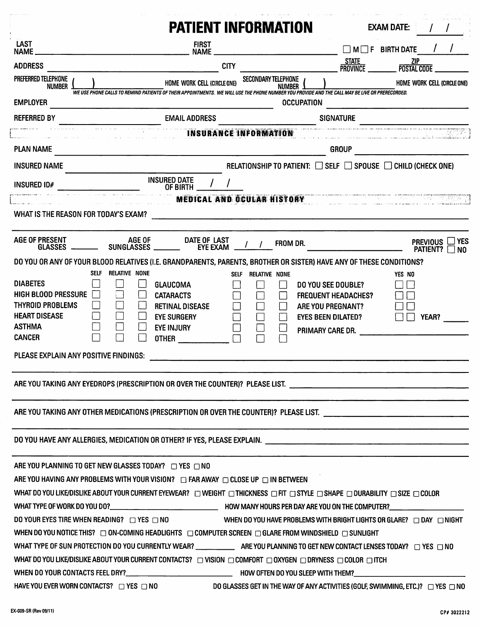|                                                                                                                                              | <b>PATIENT INFORMATION</b>                                                                                                                                  |                              |                                                 | <b>EXAM DATE:</b>                                            |
|----------------------------------------------------------------------------------------------------------------------------------------------|-------------------------------------------------------------------------------------------------------------------------------------------------------------|------------------------------|-------------------------------------------------|--------------------------------------------------------------|
| LAST<br><b>NAME</b><br><u> 1980 - Johann Johann Stoff, deutscher Stoff, der Stoff, der Stoff, der Stoff, der Stoff, der Stoff, der Stoff</u> | <b>FIRST</b><br><b>NAME</b>                                                                                                                                 |                              |                                                 | $\Box$ M $\Box$ F BIRTH DATE                                 |
| <b>ADDRESS</b>                                                                                                                               | <b>CITY</b>                                                                                                                                                 |                              | <b>STATE</b><br>$-$ Province $-$                | <b>ZIP</b><br><b>POSTAL CODE</b>                             |
| PREFERRED TELEPHONE                                                                                                                          | HOME WORK CELL (CIRCLE ONE)                                                                                                                                 | SECONDARY TELEPHONE          |                                                 | HOME WORK CELL (CIRCLE ONE)                                  |
| <b>NUMBER</b>                                                                                                                                | WE USE PHONE CALLS TO REMIND PATIENTS OF THEIR APPOINTMENTS. WE WILL USE THE PHONE NUMBER YOU PROVIDE AND THE CALL MAY BE LIVE OR PRERECORDED.              | NUMBER J                     |                                                 |                                                              |
| <b>EMPLOYER</b>                                                                                                                              |                                                                                                                                                             | <b>OCCUPATION</b>            |                                                 |                                                              |
| <b>REFERRED BY</b>                                                                                                                           | <b>EMAIL ADDRESS</b>                                                                                                                                        | <b>INSURANCE INFORMATION</b> | <b>SIGNATURE</b>                                |                                                              |
| <b>PLAN NAME</b>                                                                                                                             |                                                                                                                                                             |                              | <b>GROUP</b>                                    |                                                              |
|                                                                                                                                              | <u> 1980 - Johann John Stein, marwolaethau (b. 1980)</u>                                                                                                    |                              |                                                 |                                                              |
| <b>INSURED NAME</b>                                                                                                                          |                                                                                                                                                             |                              |                                                 | RELATIONSHIP TO PATIENT: □ SELF □ SPOUSE □ CHILD (CHECK ONE) |
| <b>INSURED ID#</b>                                                                                                                           | INSURED DATE<br>OF BIRTH                                                                                                                                    |                              |                                                 |                                                              |
| WHAT IS THE REASON FOR TODAY'S EXAM?                                                                                                         |                                                                                                                                                             |                              |                                                 | MEDICAL AND OCULAR HISTORY <b>WEDICAL AND OCULAR HISTORY</b> |
| <b>AGE OF PRESENT</b><br>GLASSES _                                                                                                           | AGE OF<br>DATE OF LAST<br>SUNGLASSES<br><b>EYE EXAM</b>                                                                                                     | FROM DR.                     |                                                 | <b>YES</b><br>PHEVIUUS<br>PATIENT?                           |
|                                                                                                                                              | DO YOU OR ANY OF YOUR BLOOD RELATIVES (I.E. GRANDPARENTS, PARENTS, BROTHER OR SISTER) HAVE ANY OF THESE CONDITIONS?                                         |                              |                                                 | NO.                                                          |
|                                                                                                                                              | SELF RELATIVE NONE                                                                                                                                          | SELF RELATIVE NONE           |                                                 | YES NO                                                       |
| <b>DIABETES</b>                                                                                                                              | <b>GLAUCOMA</b>                                                                                                                                             |                              | DO YOU SEE DOUBLE?                              |                                                              |
| <b>HIGH BLOOD PRESSURE</b><br>THYROID PROBLEMS                                                                                               | <b>CATARACTS</b><br><b>RETINAL DISEASE</b>                                                                                                                  |                              | <b>FREQUENT HEADACHES?</b><br>ARE YOU PREGNANT? |                                                              |
| <b>HEART DISEASE</b>                                                                                                                         | <b>EYE SURGERY</b>                                                                                                                                          |                              | <b>EYES BEEN DILATED?</b>                       | YEAR?                                                        |
| <b>ASTHMA</b>                                                                                                                                | <b>EYE INJURY</b>                                                                                                                                           |                              | PRIMARY CARE DR.                                |                                                              |
| <b>CANCER</b>                                                                                                                                | <b>OTHER</b>                                                                                                                                                |                              |                                                 |                                                              |
| PLEASE EXPLAIN ANY POSITIVE FINDINGS:                                                                                                        |                                                                                                                                                             |                              |                                                 |                                                              |
|                                                                                                                                              | ARE YOU TAKING ANY EYEDROPS (PRESCRIPTION OR OVER THE COUNTER)? PLEASE LIST. _________________________________                                              |                              |                                                 |                                                              |
|                                                                                                                                              |                                                                                                                                                             |                              |                                                 |                                                              |
|                                                                                                                                              |                                                                                                                                                             |                              |                                                 |                                                              |
| ARE YOU PLANNING TO GET NEW GLASSES TODAY? $\Box$ YES $\Box$ NO                                                                              |                                                                                                                                                             |                              |                                                 |                                                              |
|                                                                                                                                              | ARE YOU HAVING ANY PROBLEMS WITH YOUR VISION? $\Box$ FAR AWAY $\Box$ CLOSE UP $\Box$ IN BETWEEN                                                             |                              |                                                 |                                                              |
|                                                                                                                                              | WHAT DO YOU LIKE/DISLIKE ABOUT YOUR CURRENT EYEWEAR? [ ] WEIGHT [ ] THICKNESS [ ] FIT [ ] STYLE [ ] SHAPE [ ] DURABILITY [ ] SIZE [ ] COLOR                 |                              |                                                 |                                                              |
|                                                                                                                                              |                                                                                                                                                             |                              |                                                 |                                                              |
|                                                                                                                                              | DO YOUR EYES TIRE WHEN READING? □ YES □ NO WHEN DO YOU HAVE PROBLEMS WITH BRIGHT LIGHTS OR GLARE? □ DAY □ NIGHT                                             |                              |                                                 |                                                              |
|                                                                                                                                              | WHEN DO YOU NOTICE THIS? $\Box$ ON-COMING HEADLIGHTS $\Box$ COMPUTER SCREEN $\Box$ GLARE FROM WINDSHIELD $\Box$ SUNLIGHT                                    |                              |                                                 |                                                              |
|                                                                                                                                              |                                                                                                                                                             |                              |                                                 |                                                              |
|                                                                                                                                              | WHAT DO YOU LIKE/DISLIKE ABOUT YOUR CURRENT CONTACTS? $\Box$ VISION $\Box$ COMFORT $\Box$ OXYGEN $\Box$ DRYNESS $\Box$ COLOR $\Box$ ITCH                    |                              |                                                 |                                                              |
|                                                                                                                                              |                                                                                                                                                             |                              |                                                 |                                                              |
|                                                                                                                                              | HAVE YOU EVER WORN CONTACTS? $\Box$ YES $\Box$ NO $\Box$ NO $\Box$ DO GLASSES GET IN THE WAY OF ANY ACTIVITIES (GOLF, SWIMMING, ETC.)? $\Box$ YES $\Box$ NO |                              |                                                 |                                                              |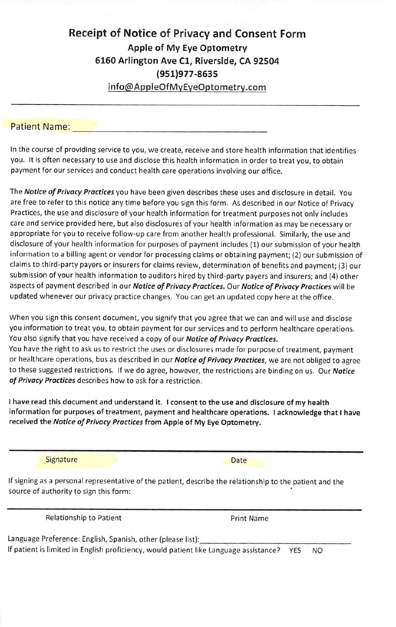## Receipt of Notice of Privacy and Consent Form Apple of My Eye Optometry 6160 Arlington Ave Cl, Riverside, CA 92504 (951)977-8635 info@AppieOfMvEveOptometrv.com

Patient Name:

In the course of providing service to you, we create, receive and store health information that identifies you. It is often necessary to use and disclose this health information in order to treat you, to obtain payment for our services and conduct health care operations involving our office.

The Notice of Privacy Practices you have been given describes these uses and disclosure in detail. You are free to refer to this notice any time before you sign this form. As described in our Notice of Privacy Practices, the use and disclosure of your health information for treatment purposes not only includes care and service provided here, but also disclosures of your health information as may be necessary or appropriate for you to receive follow-up care from another health professional. Similarly, the use and disclosure of your health information for purposes of payment includes (1) our submission of your health information to a billing agent or vendor for processing claims or obtaining payment; (2) our submission of claims to third-party payers or insurers for claims review, determination of benefits and payment; (3) our submission of your health information to auditors hired by third-party payers and insurers; and (4) other aspects of payment described in our Notice of Privacy Practices. Our Notice of Privacy Practices will be updated whenever our privacy practice changes. You can get an updated copy here at the office.

When you sign this consent document, you signify that you agree that we can and will use and disclose you information to treat you, to obtain payment for our services and to perform healthcare operations. You also signify that you have received a copy of our Notice of Privacy Practices. You have the right to ask us to restrict the uses or disclosures made for purpose of treatment, payment or healthcare operations, bus as described in our Notice of Privacy Practices, we are not obliged to agree to these suggested restrictions. If we do agree, however, the restrictions are binding on us. Our Notice of Privacy Practices describes how to ask for a restriction.

I have read this document and understand it. I consent to the use and disclosure of my health information for purposes of treatment, payment and healthcare operations. I acknowledge that i have received the Notice of Privacy Practices from Apple of My Eye Optometry.

Signature Date Date Date

If signing as a personal representative of the patient, describe the relationship to the patient and the source of authority to sign this form:

Relationship to Patient **Print Name** 

Language Preference: English, Spanish, other (please list); If patient is limited in English proficiency, would patient like Language assistance? YES NO